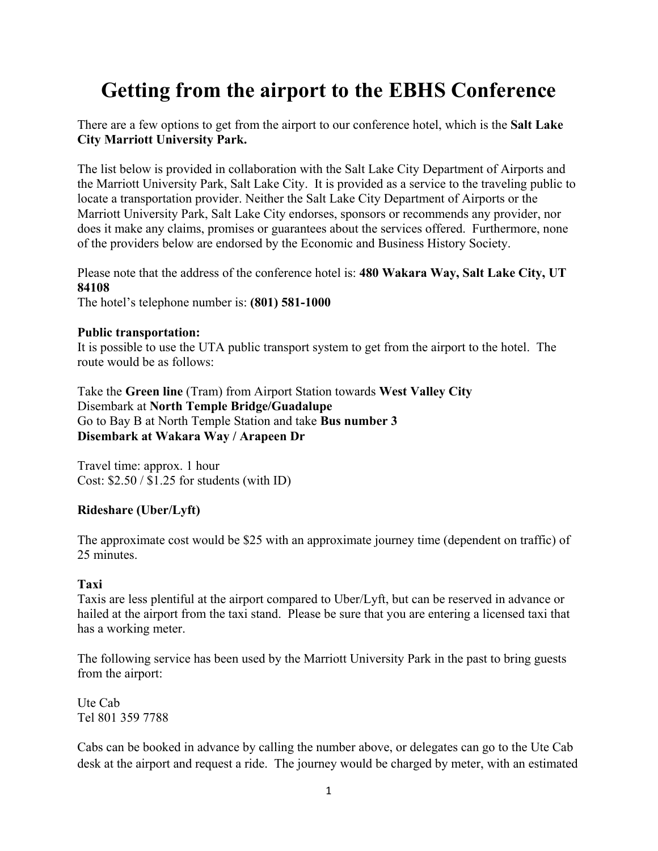# **Getting from the airport to the EBHS Conference**

There are a few options to get from the airport to our conference hotel, which is the **Salt Lake City Marriott University Park.** 

The list below is provided in collaboration with the Salt Lake City Department of Airports and the Marriott University Park, Salt Lake City. It is provided as a service to the traveling public to locate a transportation provider. Neither the Salt Lake City Department of Airports or the Marriott University Park, Salt Lake City endorses, sponsors or recommends any provider, nor does it make any claims, promises or guarantees about the services offered. Furthermore, none of the providers below are endorsed by the Economic and Business History Society.

Please note that the address of the conference hotel is: **480 Wakara Way, Salt Lake City, UT 84108**

The hotel's telephone number is: **(801) 581-1000**

## **Public transportation:**

It is possible to use the UTA public transport system to get from the airport to the hotel. The route would be as follows:

Take the **Green line** (Tram) from Airport Station towards **West Valley City** Disembark at **North Temple Bridge/Guadalupe** Go to Bay B at North Temple Station and take **Bus number 3 Disembark at Wakara Way / Arapeen Dr** 

Travel time: approx. 1 hour Cost: \$2.50 / \$1.25 for students (with ID)

# **Rideshare (Uber/Lyft)**

The approximate cost would be \$25 with an approximate journey time (dependent on traffic) of 25 minutes.

# **Taxi**

Taxis are less plentiful at the airport compared to Uber/Lyft, but can be reserved in advance or hailed at the airport from the taxi stand. Please be sure that you are entering a licensed taxi that has a working meter.

The following service has been used by the Marriott University Park in the past to bring guests from the airport:

Ute Cab Tel 801 359 7788

Cabs can be booked in advance by calling the number above, or delegates can go to the Ute Cab desk at the airport and request a ride. The journey would be charged by meter, with an estimated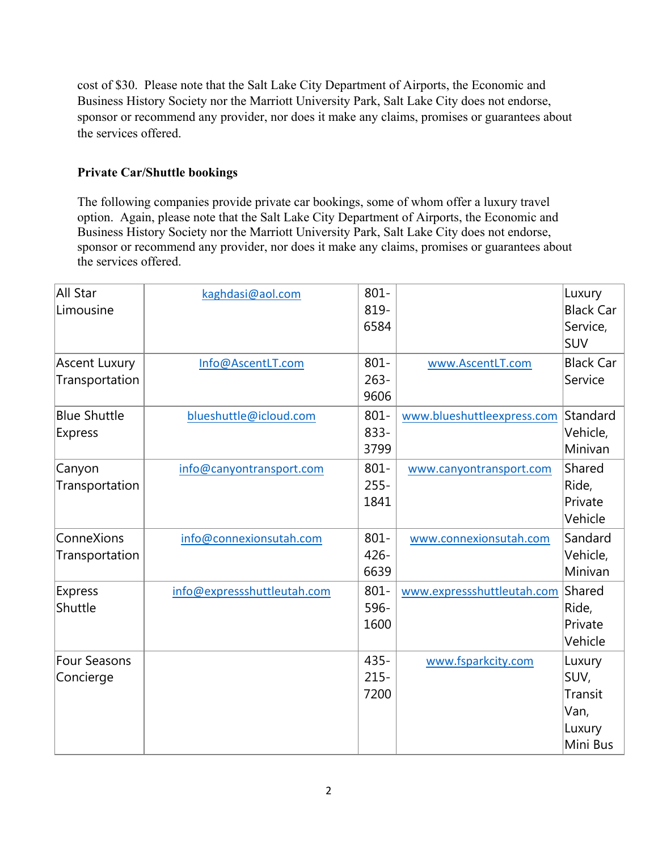cost of \$30. Please note that the Salt Lake City Department of Airports, the Economic and Business History Society nor the Marriott University Park, Salt Lake City does not endorse, sponsor or recommend any provider, nor does it make any claims, promises or guarantees about the services offered.

# **Private Car/Shuttle bookings**

The following companies provide private car bookings, some of whom offer a luxury travel option. Again, please note that the Salt Lake City Department of Airports, the Economic and Business History Society nor the Marriott University Park, Salt Lake City does not endorse, sponsor or recommend any provider, nor does it make any claims, promises or guarantees about the services offered.

| All Star<br>Limousine | kaghdasi@aol.com            | $801 -$<br>819- |                            | Luxury<br><b>Black Car</b> |
|-----------------------|-----------------------------|-----------------|----------------------------|----------------------------|
|                       |                             | 6584            |                            | Service,                   |
|                       |                             |                 |                            | <b>SUV</b>                 |
| <b>Ascent Luxury</b>  | Info@AscentLT.com           | $801 -$         | www.AscentLT.com           | <b>Black Car</b>           |
| Transportation        |                             | $263 -$         |                            | Service                    |
|                       |                             | 9606            |                            |                            |
| <b>Blue Shuttle</b>   | blueshuttle@icloud.com      | $801 -$         | www.blueshuttleexpress.com | Standard                   |
| <b>Express</b>        |                             | 833-            |                            | Vehicle,                   |
|                       |                             | 3799            |                            | Minivan                    |
| Canyon                | info@canyontransport.com    | $801 -$         | www.canyontransport.com    | Shared                     |
| Transportation        |                             | $255 -$         |                            | Ride,                      |
|                       |                             | 1841            |                            | Private                    |
|                       |                             |                 |                            | Vehicle                    |
| ConneXions            | info@connexionsutah.com     | $801 -$         | www.connexionsutah.com     | Sandard                    |
| Transportation        |                             | $426 -$         |                            | Vehicle,                   |
|                       |                             | 6639            |                            | Minivan                    |
| <b>Express</b>        | info@expressshuttleutah.com | $801 -$         | www.expressshuttleutah.com | Shared                     |
| Shuttle               |                             | 596-            |                            | Ride,                      |
|                       |                             | 1600            |                            | Private                    |
|                       |                             |                 |                            | Vehicle                    |
| <b>Four Seasons</b>   |                             | 435-            | www.fsparkcity.com         | Luxury                     |
| Concierge             |                             | $215 -$         |                            | SUV,                       |
|                       |                             | 7200            |                            | Transit                    |
|                       |                             |                 |                            | Van,                       |
|                       |                             |                 |                            | Luxury<br>Mini Bus         |
|                       |                             |                 |                            |                            |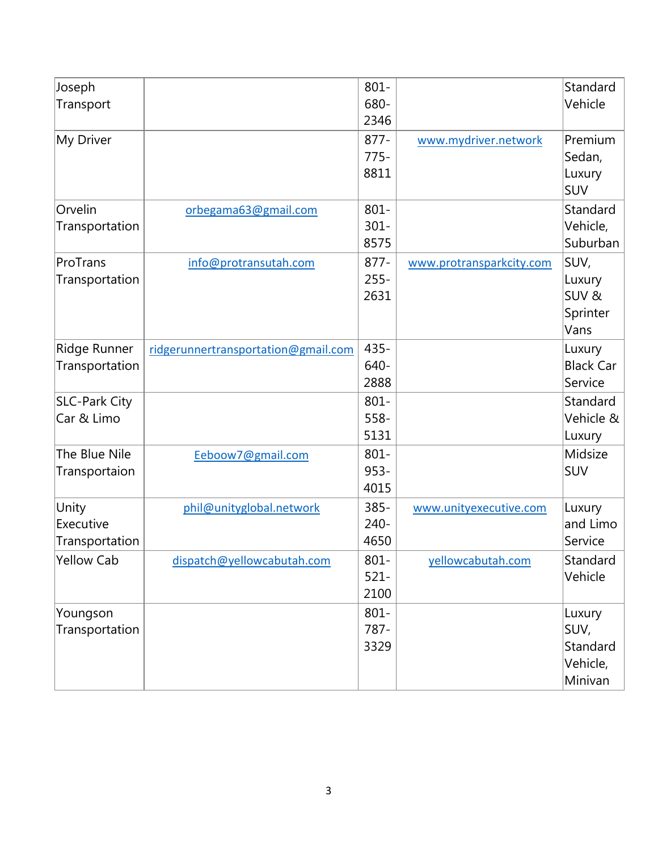| Joseph               |                                     | $801 -$ |                          | Standard         |
|----------------------|-------------------------------------|---------|--------------------------|------------------|
| Transport            |                                     | 680-    |                          | Vehicle          |
|                      |                                     | 2346    |                          |                  |
| My Driver            |                                     | $877 -$ | www.mydriver.network     | Premium          |
|                      |                                     | $775-$  |                          | Sedan,           |
|                      |                                     | 8811    |                          | Luxury           |
|                      |                                     |         |                          | SUV              |
| Orvelin              | orbegama63@gmail.com                | $801 -$ |                          | Standard         |
| Transportation       |                                     | $301 -$ |                          | Vehicle,         |
|                      |                                     | 8575    |                          | Suburban         |
| ProTrans             | info@protransutah.com               | $877 -$ | www.protransparkcity.com | SUV,             |
| Transportation       |                                     | $255 -$ |                          | Luxury           |
|                      |                                     | 2631    |                          | SUV&             |
|                      |                                     |         |                          | Sprinter         |
|                      |                                     |         |                          | Vans             |
| Ridge Runner         | ridgerunnertransportation@gmail.com | $435 -$ |                          | Luxury           |
| Transportation       |                                     | 640-    |                          | <b>Black Car</b> |
|                      |                                     | 2888    |                          | Service          |
| <b>SLC-Park City</b> |                                     | $801 -$ |                          | Standard         |
| Car & Limo           |                                     | $558 -$ |                          | Vehicle &        |
|                      |                                     | 5131    |                          | Luxury           |
| The Blue Nile        | Eeboow7@gmail.com                   | $801 -$ |                          | Midsize          |
| Transportaion        |                                     | $953 -$ |                          | SUV              |
|                      |                                     | 4015    |                          |                  |
| Unity                | phil@unityglobal.network            | $385 -$ | www.unityexecutive.com   | Luxury           |
| Executive            |                                     | $240 -$ |                          | and Limo         |
| Transportation       |                                     | 4650    |                          | Service          |
| <b>Yellow Cab</b>    | dispatch@yellowcabutah.com          | $801 -$ | yellowcabutah.com        | Standard         |
|                      |                                     | $521 -$ |                          | Vehicle          |
|                      |                                     | 2100    |                          |                  |
| Youngson             |                                     | $801 -$ |                          | Luxury           |
| Transportation       |                                     | 787-    |                          | SUV,             |
|                      |                                     | 3329    |                          | Standard         |
|                      |                                     |         |                          | Vehicle,         |
|                      |                                     |         |                          | Minivan          |